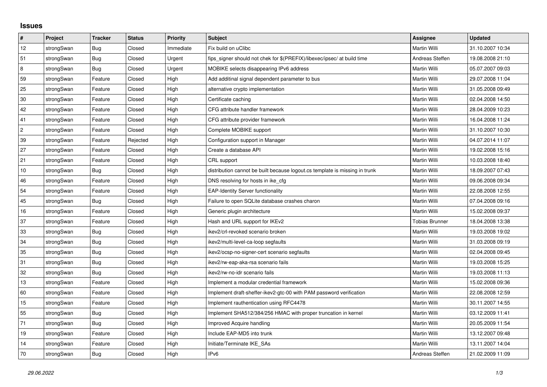## **Issues**

| #              | Project    | <b>Tracker</b> | <b>Status</b> | <b>Priority</b> | Subject                                                                     | <b>Assignee</b>       | <b>Updated</b>   |
|----------------|------------|----------------|---------------|-----------------|-----------------------------------------------------------------------------|-----------------------|------------------|
| 12             | strongSwan | Bug            | Closed        | Immediate       | Fix build on uClibc                                                         | Martin Willi          | 31.10.2007 10:34 |
| 51             | strongSwan | Bug            | Closed        | Urgent          | fips signer should not chek for \$(PREFIX)/libexec/ipsec/ at build time     | Andreas Steffen       | 19.08.2008 21:10 |
| $\bf 8$        | strongSwan | Bug            | Closed        | Urgent          | MOBIKE selects disappearing IPv6 address                                    | Martin Willi          | 05.07.2007 09:03 |
| 59             | strongSwan | Feature        | Closed        | High            | Add additinal signal dependent parameter to bus                             | Martin Willi          | 29.07.2008 11:04 |
| 25             | strongSwan | Feature        | Closed        | High            | alternative crypto implementation                                           | Martin Willi          | 31.05.2008 09:49 |
| $30\,$         | strongSwan | Feature        | Closed        | High            | Certificate caching                                                         | Martin Willi          | 02.04.2008 14:50 |
| 42             | strongSwan | Feature        | Closed        | High            | CFG attribute handler framework                                             | Martin Willi          | 28.04.2009 10:23 |
| 41             | strongSwan | Feature        | Closed        | High            | CFG attribute provider framework                                            | Martin Willi          | 16.04.2008 11:24 |
| $\overline{c}$ | strongSwan | Feature        | Closed        | High            | Complete MOBIKE support                                                     | Martin Willi          | 31.10.2007 10:30 |
| 39             | strongSwan | Feature        | Rejected      | High            | Configuration support in Manager                                            | Martin Willi          | 04.07.2014 11:07 |
| 27             | strongSwan | Feature        | Closed        | High            | Create a database API                                                       | Martin Willi          | 19.02.2008 15:16 |
| 21             | strongSwan | Feature        | Closed        | High            | CRL support                                                                 | Martin Willi          | 10.03.2008 18:40 |
| 10             | strongSwan | Bug            | Closed        | High            | distribution cannot be built because logout.cs template is missing in trunk | Martin Willi          | 18.09.2007 07:43 |
| 46             | strongSwan | Feature        | Closed        | High            | DNS resolving for hosts in ike_cfg                                          | Martin Willi          | 09.06.2008 09:34 |
| 54             | strongSwan | Feature        | Closed        | High            | <b>EAP-Identity Server functionality</b>                                    | Martin Willi          | 22.08.2008 12:55 |
| 45             | strongSwan | Bug            | Closed        | High            | Failure to open SQLite database crashes charon                              | Martin Willi          | 07.04.2008 09:16 |
| 16             | strongSwan | Feature        | Closed        | High            | Generic plugin architecture                                                 | Martin Willi          | 15.02.2008 09:37 |
| 37             | strongSwan | Feature        | Closed        | High            | Hash and URL support for IKEv2                                              | <b>Tobias Brunner</b> | 18.04.2008 13:38 |
| 33             | strongSwan | <b>Bug</b>     | Closed        | High            | ikev2/crl-revoked scenario broken                                           | Martin Willi          | 19.03.2008 19:02 |
| 34             | strongSwan | Bug            | Closed        | High            | ikev2/multi-level-ca-loop segfaults                                         | Martin Willi          | 31.03.2008 09:19 |
| 35             | strongSwan | Bug            | Closed        | High            | ikev2/ocsp-no-signer-cert scenario segfaults                                | Martin Willi          | 02.04.2008 09:45 |
| 31             | strongSwan | Bug            | Closed        | High            | ikev2/rw-eap-aka-rsa scenario fails                                         | Martin Willi          | 19.03.2008 15:25 |
| 32             | strongSwan | Bug            | Closed        | High            | ikev2/rw-no-idr scenario fails                                              | Martin Willi          | 19.03.2008 11:13 |
| 13             | strongSwan | Feature        | Closed        | High            | Implement a modular credential framework                                    | Martin Willi          | 15.02.2008 09:36 |
| 60             | strongSwan | Feature        | Closed        | High            | Implement draft-sheffer-ikev2-gtc-00 with PAM password verification         | Martin Willi          | 22.08.2008 12:59 |
| 15             | strongSwan | Feature        | Closed        | High            | Implement rauthentication using RFC4478                                     | Martin Willi          | 30.11.2007 14:55 |
| 55             | strongSwan | Bug            | Closed        | High            | Implement SHA512/384/256 HMAC with proper truncation in kernel              | Martin Willi          | 03.12.2009 11:41 |
| 71             | strongSwan | Bug            | Closed        | High            | Improved Acquire handling                                                   | Martin Willi          | 20.05.2009 11:54 |
| 19             | strongSwan | Feature        | Closed        | High            | Include EAP-MD5 into trunk                                                  | Martin Willi          | 13.12.2007 09:48 |
| 14             | strongSwan | Feature        | Closed        | High            | Initiate/Terminate IKE SAs                                                  | Martin Willi          | 13.11.2007 14:04 |
| 70             | strongSwan | Bug            | Closed        | High            | IP <sub>v6</sub>                                                            | Andreas Steffen       | 21.02.2009 11:09 |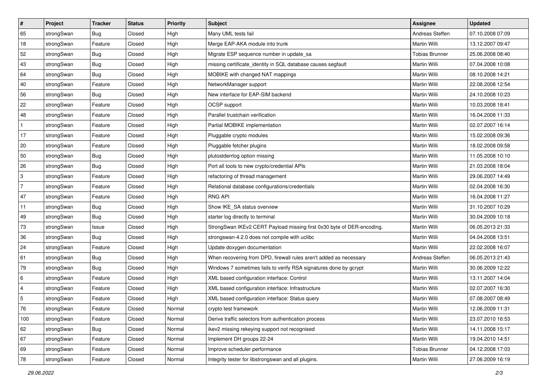| $\vert$ #                 | Project    | <b>Tracker</b> | <b>Status</b> | Priority | <b>Subject</b>                                                         | <b>Assignee</b>       | <b>Updated</b>   |
|---------------------------|------------|----------------|---------------|----------|------------------------------------------------------------------------|-----------------------|------------------|
| 65                        | strongSwan | <b>Bug</b>     | Closed        | High     | Many UML tests fail                                                    | Andreas Steffen       | 07.10.2008 07:09 |
| 18                        | strongSwan | Feature        | Closed        | High     | Merge EAP-AKA module into trunk                                        | Martin Willi          | 13.12.2007 09:47 |
| 52                        | strongSwan | <b>Bug</b>     | Closed        | High     | Migrate ESP sequence number in update sa                               | <b>Tobias Brunner</b> | 25.06.2008 08:40 |
| 43                        | strongSwan | <b>Bug</b>     | Closed        | High     | missing certificate_identity in SQL database causes segfault           | Martin Willi          | 07.04.2008 10:08 |
| 64                        | strongSwan | Bug            | Closed        | High     | MOBIKE with changed NAT mappings                                       | Martin Willi          | 08.10.2008 14:21 |
| 40                        | strongSwan | Feature        | Closed        | High     | NetworkManager support                                                 | Martin Willi          | 22.08.2008 12:54 |
| 56                        | strongSwan | Bug            | Closed        | High     | New interface for EAP-SIM backend                                      | Martin Willi          | 24.10.2008 10:23 |
| 22                        | strongSwan | Feature        | Closed        | High     | OCSP support                                                           | Martin Willi          | 10.03.2008 18:41 |
| 48                        | strongSwan | Feature        | Closed        | High     | Parallel trustchain verification                                       | Martin Willi          | 16.04.2008 11:33 |
| $\mathbf{1}$              | strongSwan | Feature        | Closed        | High     | Partial MOBIKE implementation                                          | Martin Willi          | 02.07.2007 16:14 |
| 17                        | strongSwan | Feature        | Closed        | High     | Pluggable crypto modules                                               | Martin Willi          | 15.02.2008 09:36 |
| 20                        | strongSwan | Feature        | Closed        | High     | Pluggable fetcher plugins                                              | Martin Willi          | 18.02.2008 09:58 |
| 50                        | strongSwan | Bug            | Closed        | High     | plutostderrlog option missing                                          | Martin Willi          | 11.05.2008 10:10 |
| 26                        | strongSwan | Bug            | Closed        | High     | Port all tools to new crypto/credential APIs                           | Martin Willi          | 21.03.2008 18:04 |
| $\ensuremath{\mathsf{3}}$ | strongSwan | Feature        | Closed        | High     | refactoring of thread management                                       | Martin Willi          | 29.06.2007 14:49 |
| $\overline{7}$            | strongSwan | Feature        | Closed        | High     | Relational database configurations/credentials                         | Martin Willi          | 02.04.2008 16:30 |
| 47                        | strongSwan | Feature        | Closed        | High     | <b>RNG API</b>                                                         | Martin Willi          | 16.04.2008 11:27 |
| 11                        | strongSwan | Bug            | Closed        | High     | Show IKE SA status overview                                            | Martin Willi          | 31.10.2007 10:29 |
| 49                        | strongSwan | <b>Bug</b>     | Closed        | High     | starter log directly to terminal                                       | Martin Willi          | 30.04.2009 10:18 |
| 73                        | strongSwan | Issue          | Closed        | High     | StrongSwan IKEv2 CERT Payload missing first 0x30 byte of DER-encoding. | Martin Willi          | 06.05.2013 21:33 |
| 36                        | strongSwan | Bug            | Closed        | High     | strongswan-4.2.0 does not compile with uclibc                          | Martin Willi          | 04.04.2008 13:51 |
| 24                        | strongSwan | Feature        | Closed        | High     | Update doxygen documentation                                           | Martin Willi          | 22.02.2008 16:07 |
| 61                        | strongSwan | Bug            | Closed        | High     | When recovering from DPD, firewall rules aren't added as necessary     | Andreas Steffen       | 06.05.2013 21:43 |
| 79                        | strongSwan | <b>Bug</b>     | Closed        | High     | Windows 7 sometimes fails to verify RSA signatures done by gcrypt      | Martin Willi          | 30.06.2009 12:22 |
| 6                         | strongSwan | Feature        | Closed        | High     | XML based configuration interface: Control                             | Martin Willi          | 13.11.2007 14:04 |
| $\overline{4}$            | strongSwan | Feature        | Closed        | High     | XML based configuration interface: Infrastructure                      | Martin Willi          | 02.07.2007 16:30 |
| 5                         | strongSwan | Feature        | Closed        | High     | XML based configuration interface: Status query                        | Martin Willi          | 07.08.2007 08:49 |
| 76                        | strongSwan | Feature        | Closed        | Normal   | crypto test framework                                                  | Martin Willi          | 12.06.2009 11:31 |
| 100                       | strongSwan | Feature        | Closed        | Normal   | Derive traffic selectors from authentication process                   | Martin Willi          | 23.07.2010 16:53 |
| 62                        | strongSwan | Bug            | Closed        | Normal   | ikev2 missing rekeying support not recognised                          | Martin Willi          | 14.11.2008 15:17 |
| 67                        | strongSwan | Feature        | Closed        | Normal   | Implement DH groups 22-24                                              | Martin Willi          | 19.04.2010 14:51 |
| 69                        | strongSwan | Feature        | Closed        | Normal   | Improve scheduler performance                                          | <b>Tobias Brunner</b> | 04.12.2008 17:03 |
| 78                        | strongSwan | Feature        | Closed        | Normal   | Integrity tester for libstrongswan and all plugins.                    | Martin Willi          | 27.06.2009 16:19 |